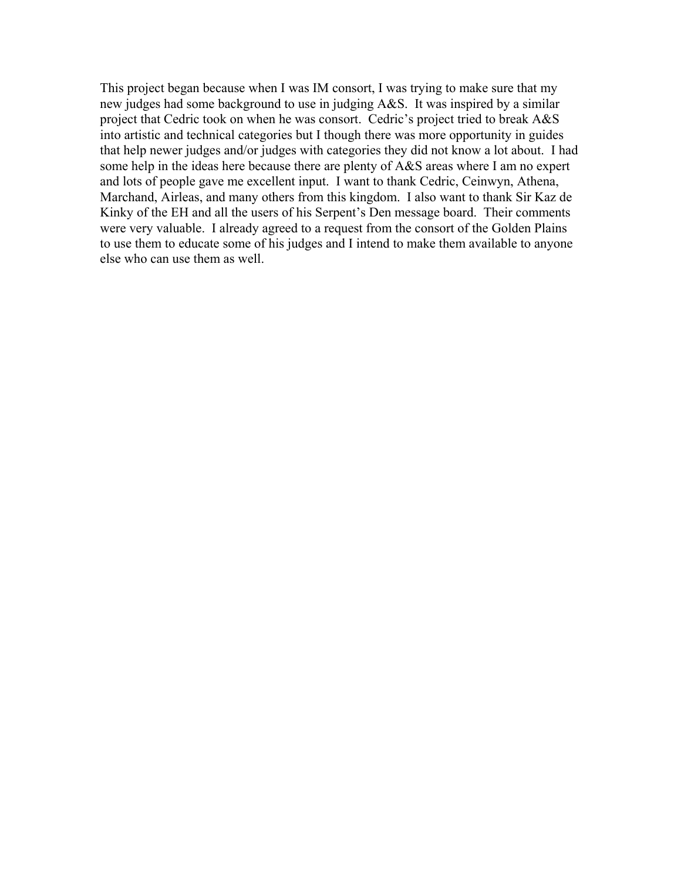This project began because when I was IM consort, I was trying to make sure that my new judges had some background to use in judging A&S. It was inspired by a similar project that Cedric took on when he was consort. Cedric's project tried to break A&S into artistic and technical categories but I though there was more opportunity in guides that help newer judges and/or judges with categories they did not know a lot about. I had some help in the ideas here because there are plenty of A&S areas where I am no expert and lots of people gave me excellent input. I want to thank Cedric, Ceinwyn, Athena, Marchand, Airleas, and many others from this kingdom. I also want to thank Sir Kaz de Kinky of the EH and all the users of his Serpent's Den message board. Their comments were very valuable. I already agreed to a request from the consort of the Golden Plains to use them to educate some of his judges and I intend to make them available to anyone else who can use them as well.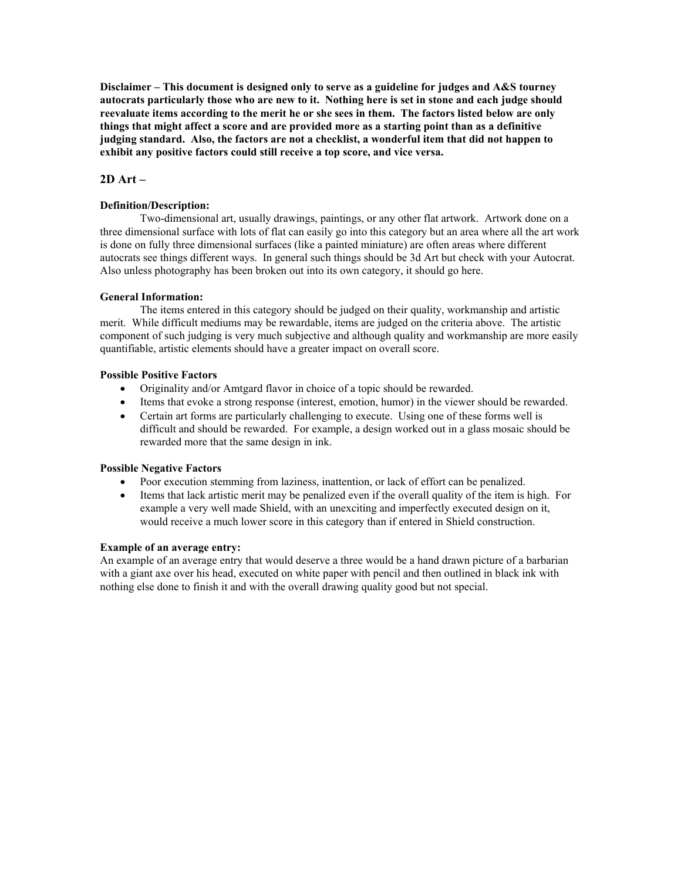# **2D Art –**

### **Definition/Description:**

Two-dimensional art, usually drawings, paintings, or any other flat artwork. Artwork done on a three dimensional surface with lots of flat can easily go into this category but an area where all the art work is done on fully three dimensional surfaces (like a painted miniature) are often areas where different autocrats see things different ways. In general such things should be 3d Art but check with your Autocrat. Also unless photography has been broken out into its own category, it should go here.

### **General Information:**

The items entered in this category should be judged on their quality, workmanship and artistic merit. While difficult mediums may be rewardable, items are judged on the criteria above. The artistic component of such judging is very much subjective and although quality and workmanship are more easily quantifiable, artistic elements should have a greater impact on overall score.

### **Possible Positive Factors**

- Originality and/or Amtgard flavor in choice of a topic should be rewarded.
- Items that evoke a strong response (interest, emotion, humor) in the viewer should be rewarded.
- Certain art forms are particularly challenging to execute. Using one of these forms well is difficult and should be rewarded. For example, a design worked out in a glass mosaic should be rewarded more that the same design in ink.

## **Possible Negative Factors**

- Poor execution stemming from laziness, inattention, or lack of effort can be penalized.
- Items that lack artistic merit may be penalized even if the overall quality of the item is high. For example a very well made Shield, with an unexciting and imperfectly executed design on it, would receive a much lower score in this category than if entered in Shield construction.

#### **Example of an average entry:**

An example of an average entry that would deserve a three would be a hand drawn picture of a barbarian with a giant axe over his head, executed on white paper with pencil and then outlined in black ink with nothing else done to finish it and with the overall drawing quality good but not special.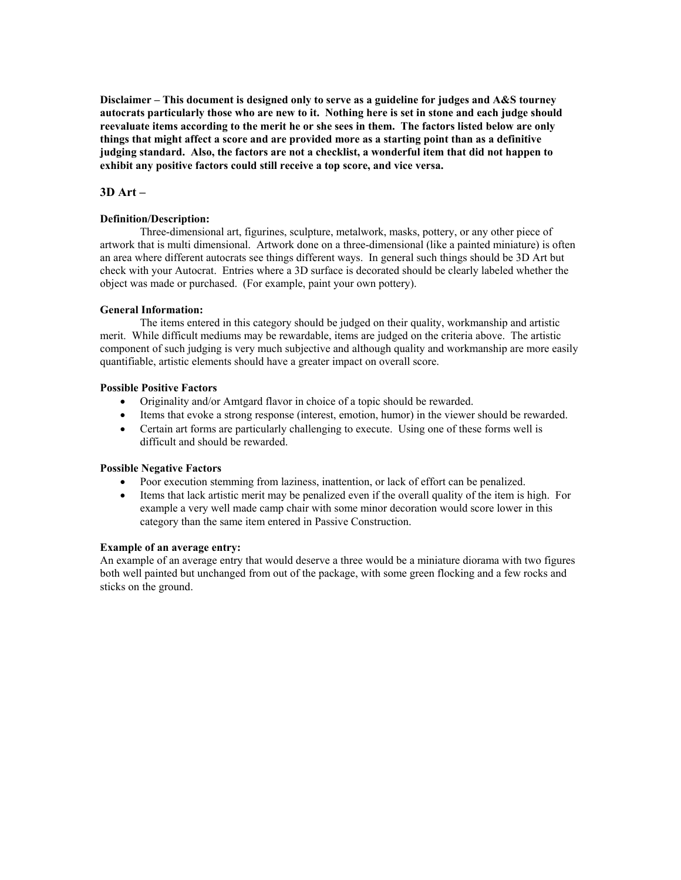# **3D Art –**

### **Definition/Description:**

Three-dimensional art, figurines, sculpture, metalwork, masks, pottery, or any other piece of artwork that is multi dimensional. Artwork done on a three-dimensional (like a painted miniature) is often an area where different autocrats see things different ways. In general such things should be 3D Art but check with your Autocrat. Entries where a 3D surface is decorated should be clearly labeled whether the object was made or purchased. (For example, paint your own pottery).

### **General Information:**

The items entered in this category should be judged on their quality, workmanship and artistic merit. While difficult mediums may be rewardable, items are judged on the criteria above. The artistic component of such judging is very much subjective and although quality and workmanship are more easily quantifiable, artistic elements should have a greater impact on overall score.

### **Possible Positive Factors**

- Originality and/or Amtgard flavor in choice of a topic should be rewarded.
- Items that evoke a strong response (interest, emotion, humor) in the viewer should be rewarded.
- Certain art forms are particularly challenging to execute. Using one of these forms well is difficult and should be rewarded.

## **Possible Negative Factors**

- Poor execution stemming from laziness, inattention, or lack of effort can be penalized.
- Items that lack artistic merit may be penalized even if the overall quality of the item is high. For example a very well made camp chair with some minor decoration would score lower in this category than the same item entered in Passive Construction.

#### **Example of an average entry:**

An example of an average entry that would deserve a three would be a miniature diorama with two figures both well painted but unchanged from out of the package, with some green flocking and a few rocks and sticks on the ground.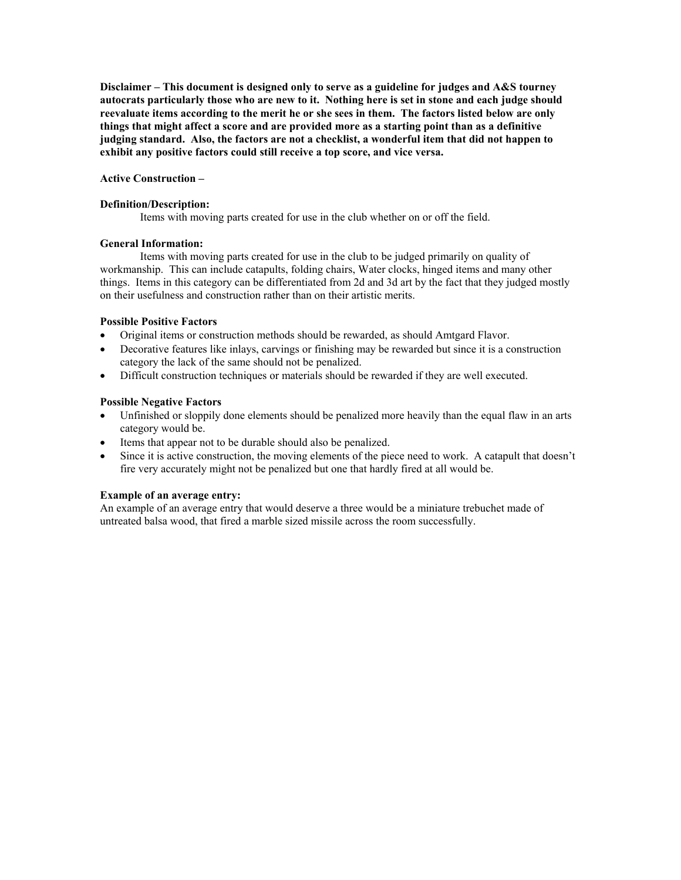### **Active Construction –**

#### **Definition/Description:**

Items with moving parts created for use in the club whether on or off the field.

### **General Information:**

 Items with moving parts created for use in the club to be judged primarily on quality of workmanship. This can include catapults, folding chairs, Water clocks, hinged items and many other things. Items in this category can be differentiated from 2d and 3d art by the fact that they judged mostly on their usefulness and construction rather than on their artistic merits.

## **Possible Positive Factors**

- Original items or construction methods should be rewarded, as should Amtgard Flavor.
- Decorative features like inlays, carvings or finishing may be rewarded but since it is a construction category the lack of the same should not be penalized.
- Difficult construction techniques or materials should be rewarded if they are well executed.

### **Possible Negative Factors**

- Unfinished or sloppily done elements should be penalized more heavily than the equal flaw in an arts category would be.
- Items that appear not to be durable should also be penalized.
- Since it is active construction, the moving elements of the piece need to work. A catapult that doesn't fire very accurately might not be penalized but one that hardly fired at all would be.

## **Example of an average entry:**

An example of an average entry that would deserve a three would be a miniature trebuchet made of untreated balsa wood, that fired a marble sized missile across the room successfully.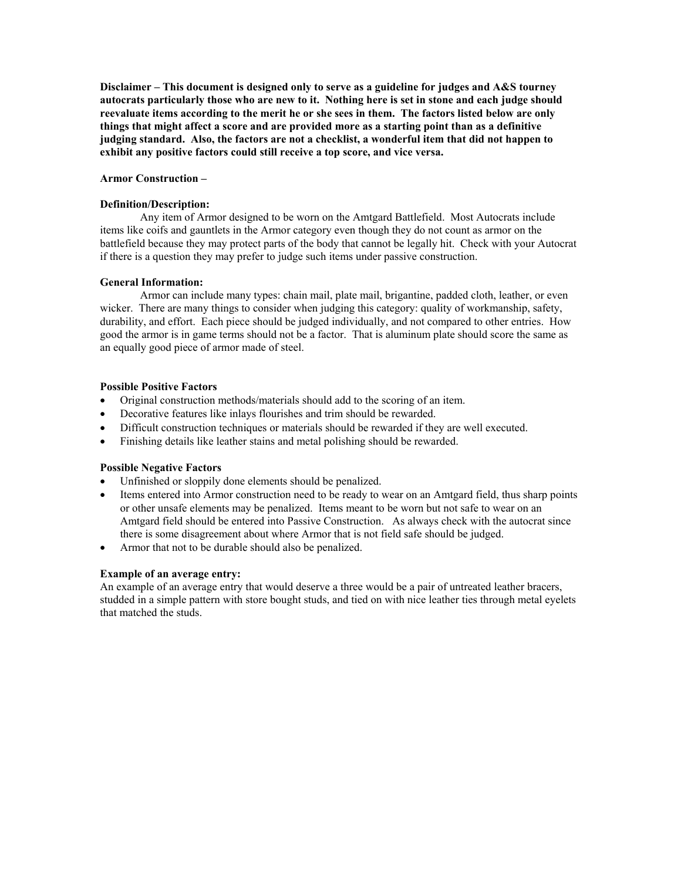#### **Armor Construction –**

### **Definition/Description:**

 Any item of Armor designed to be worn on the Amtgard Battlefield. Most Autocrats include items like coifs and gauntlets in the Armor category even though they do not count as armor on the battlefield because they may protect parts of the body that cannot be legally hit. Check with your Autocrat if there is a question they may prefer to judge such items under passive construction.

### **General Information:**

 Armor can include many types: chain mail, plate mail, brigantine, padded cloth, leather, or even wicker. There are many things to consider when judging this category: quality of workmanship, safety, durability, and effort. Each piece should be judged individually, and not compared to other entries. How good the armor is in game terms should not be a factor. That is aluminum plate should score the same as an equally good piece of armor made of steel.

### **Possible Positive Factors**

- Original construction methods/materials should add to the scoring of an item.
- Decorative features like inlays flourishes and trim should be rewarded.
- Difficult construction techniques or materials should be rewarded if they are well executed.
- Finishing details like leather stains and metal polishing should be rewarded.

## **Possible Negative Factors**

- Unfinished or sloppily done elements should be penalized.
- Items entered into Armor construction need to be ready to wear on an Amtgard field, thus sharp points or other unsafe elements may be penalized. Items meant to be worn but not safe to wear on an Amtgard field should be entered into Passive Construction. As always check with the autocrat since there is some disagreement about where Armor that is not field safe should be judged.
- Armor that not to be durable should also be penalized.

## **Example of an average entry:**

An example of an average entry that would deserve a three would be a pair of untreated leather bracers, studded in a simple pattern with store bought studs, and tied on with nice leather ties through metal eyelets that matched the studs.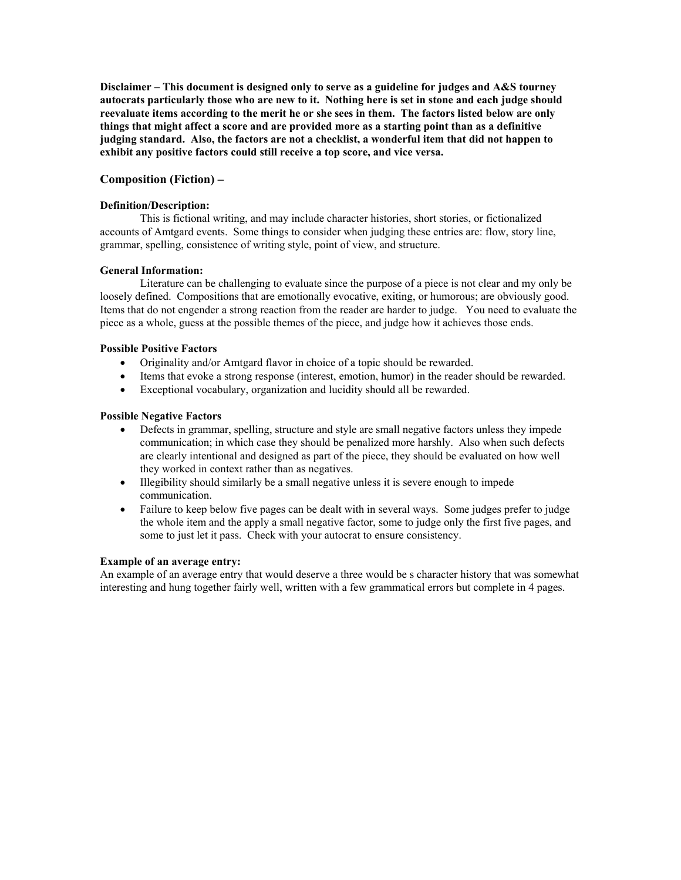# **Composition (Fiction) –**

### **Definition/Description:**

This is fictional writing, and may include character histories, short stories, or fictionalized accounts of Amtgard events. Some things to consider when judging these entries are: flow, story line, grammar, spelling, consistence of writing style, point of view, and structure.

### **General Information:**

Literature can be challenging to evaluate since the purpose of a piece is not clear and my only be loosely defined. Compositions that are emotionally evocative, exiting, or humorous; are obviously good. Items that do not engender a strong reaction from the reader are harder to judge. You need to evaluate the piece as a whole, guess at the possible themes of the piece, and judge how it achieves those ends.

### **Possible Positive Factors**

- Originality and/or Amtgard flavor in choice of a topic should be rewarded.
- Items that evoke a strong response (interest, emotion, humor) in the reader should be rewarded.
- Exceptional vocabulary, organization and lucidity should all be rewarded.

### **Possible Negative Factors**

- Defects in grammar, spelling, structure and style are small negative factors unless they impede communication; in which case they should be penalized more harshly. Also when such defects are clearly intentional and designed as part of the piece, they should be evaluated on how well they worked in context rather than as negatives.
- Illegibility should similarly be a small negative unless it is severe enough to impede communication.
- Failure to keep below five pages can be dealt with in several ways. Some judges prefer to judge the whole item and the apply a small negative factor, some to judge only the first five pages, and some to just let it pass. Check with your autocrat to ensure consistency.

### **Example of an average entry:**

An example of an average entry that would deserve a three would be s character history that was somewhat interesting and hung together fairly well, written with a few grammatical errors but complete in 4 pages.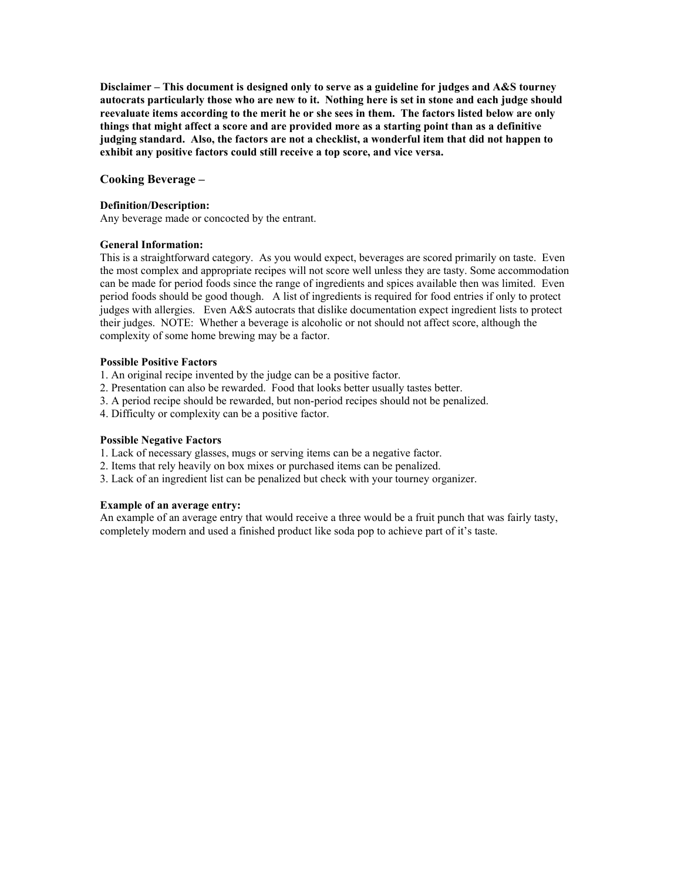### **Cooking Beverage –**

#### **Definition/Description:**

Any beverage made or concocted by the entrant.

### **General Information:**

This is a straightforward category. As you would expect, beverages are scored primarily on taste. Even the most complex and appropriate recipes will not score well unless they are tasty. Some accommodation can be made for period foods since the range of ingredients and spices available then was limited. Even period foods should be good though. A list of ingredients is required for food entries if only to protect judges with allergies. Even A&S autocrats that dislike documentation expect ingredient lists to protect their judges. NOTE: Whether a beverage is alcoholic or not should not affect score, although the complexity of some home brewing may be a factor.

#### **Possible Positive Factors**

- 1. An original recipe invented by the judge can be a positive factor.
- 2. Presentation can also be rewarded. Food that looks better usually tastes better.
- 3. A period recipe should be rewarded, but non-period recipes should not be penalized.
- 4. Difficulty or complexity can be a positive factor.

### **Possible Negative Factors**

- 1. Lack of necessary glasses, mugs or serving items can be a negative factor.
- 2. Items that rely heavily on box mixes or purchased items can be penalized.
- 3. Lack of an ingredient list can be penalized but check with your tourney organizer.

#### **Example of an average entry:**

An example of an average entry that would receive a three would be a fruit punch that was fairly tasty, completely modern and used a finished product like soda pop to achieve part of it's taste.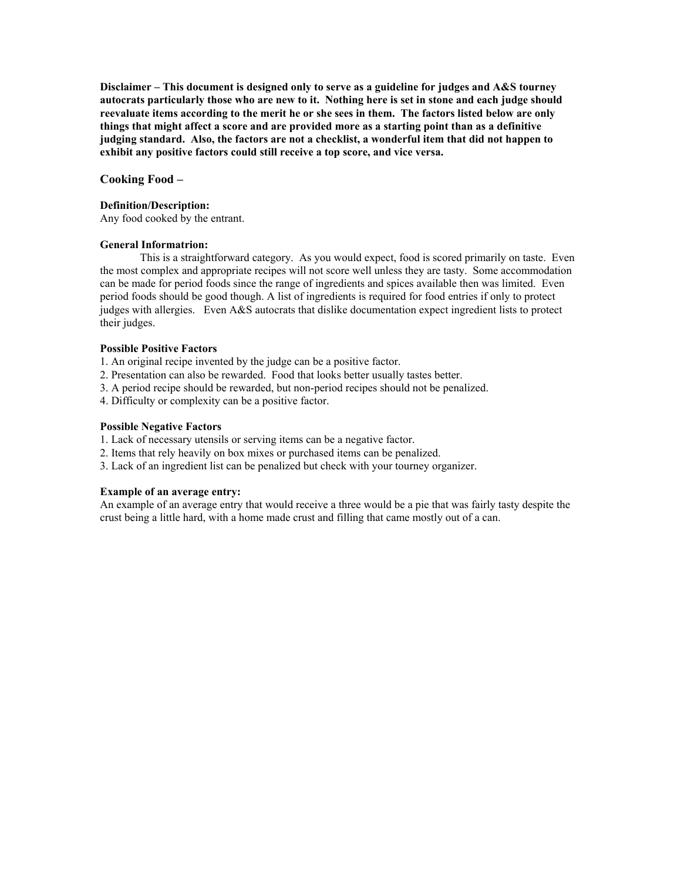#### **Cooking Food –**

#### **Definition/Description:**

Any food cooked by the entrant.

### **General Informatrion:**

This is a straightforward category. As you would expect, food is scored primarily on taste. Even the most complex and appropriate recipes will not score well unless they are tasty. Some accommodation can be made for period foods since the range of ingredients and spices available then was limited. Even period foods should be good though. A list of ingredients is required for food entries if only to protect judges with allergies. Even A&S autocrats that dislike documentation expect ingredient lists to protect their judges.

#### **Possible Positive Factors**

1. An original recipe invented by the judge can be a positive factor.

- 2. Presentation can also be rewarded. Food that looks better usually tastes better.
- 3. A period recipe should be rewarded, but non-period recipes should not be penalized.
- 4. Difficulty or complexity can be a positive factor.

#### **Possible Negative Factors**

1. Lack of necessary utensils or serving items can be a negative factor.

- 2. Items that rely heavily on box mixes or purchased items can be penalized.
- 3. Lack of an ingredient list can be penalized but check with your tourney organizer.

#### **Example of an average entry:**

An example of an average entry that would receive a three would be a pie that was fairly tasty despite the crust being a little hard, with a home made crust and filling that came mostly out of a can.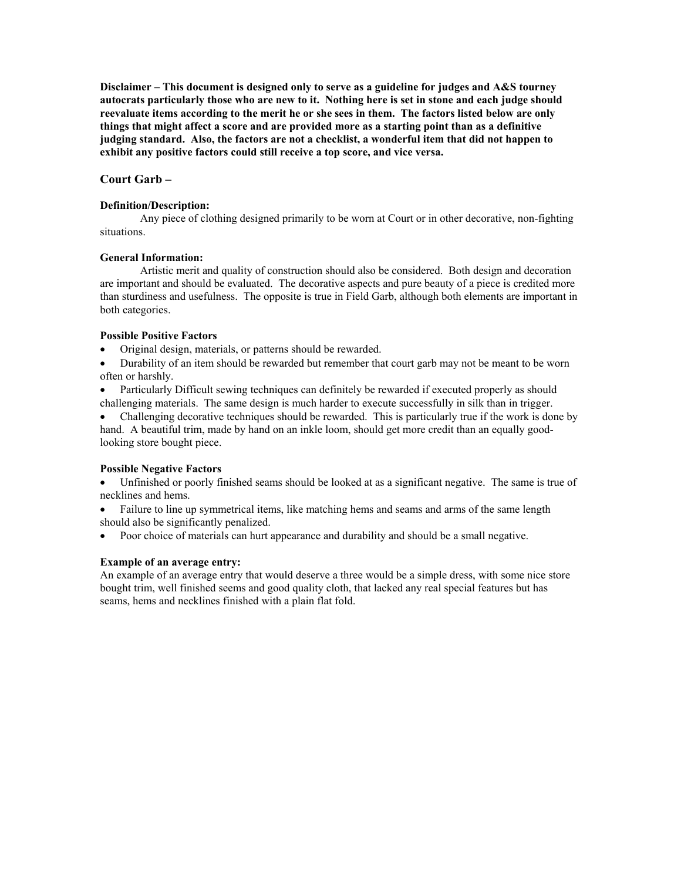# **Court Garb –**

### **Definition/Description:**

Any piece of clothing designed primarily to be worn at Court or in other decorative, non-fighting situations.

### **General Information:**

Artistic merit and quality of construction should also be considered. Both design and decoration are important and should be evaluated. The decorative aspects and pure beauty of a piece is credited more than sturdiness and usefulness. The opposite is true in Field Garb, although both elements are important in both categories.

## **Possible Positive Factors**

• Original design, materials, or patterns should be rewarded.

• Durability of an item should be rewarded but remember that court garb may not be meant to be worn often or harshly.

• Particularly Difficult sewing techniques can definitely be rewarded if executed properly as should challenging materials. The same design is much harder to execute successfully in silk than in trigger.

• Challenging decorative techniques should be rewarded. This is particularly true if the work is done by hand. A beautiful trim, made by hand on an inkle loom, should get more credit than an equally goodlooking store bought piece.

## **Possible Negative Factors**

• Unfinished or poorly finished seams should be looked at as a significant negative. The same is true of necklines and hems.

• Failure to line up symmetrical items, like matching hems and seams and arms of the same length should also be significantly penalized.

• Poor choice of materials can hurt appearance and durability and should be a small negative.

## **Example of an average entry:**

An example of an average entry that would deserve a three would be a simple dress, with some nice store bought trim, well finished seems and good quality cloth, that lacked any real special features but has seams, hems and necklines finished with a plain flat fold.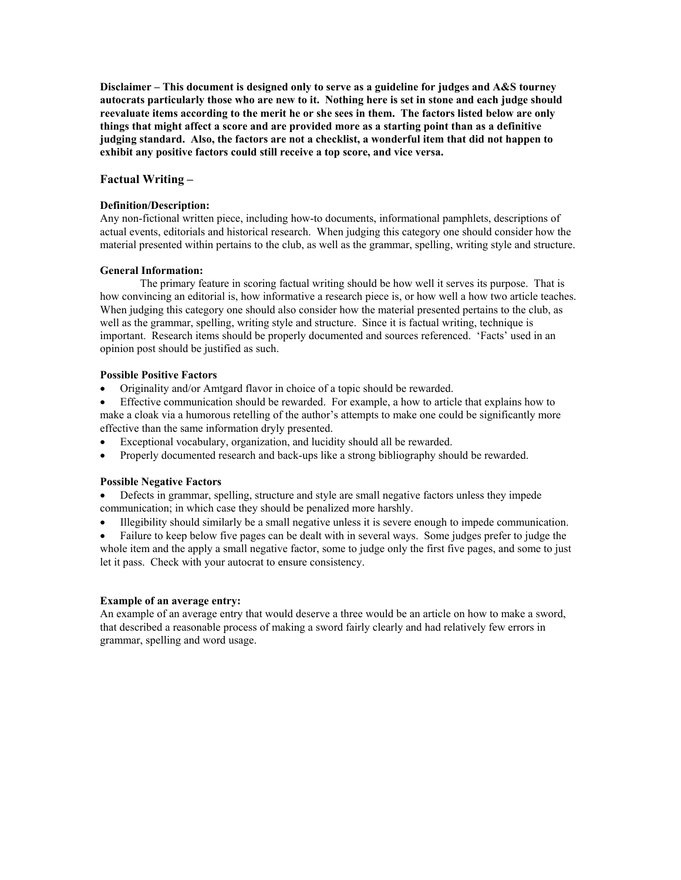## **Factual Writing –**

### **Definition/Description:**

Any non-fictional written piece, including how-to documents, informational pamphlets, descriptions of actual events, editorials and historical research. When judging this category one should consider how the material presented within pertains to the club, as well as the grammar, spelling, writing style and structure.

### **General Information:**

The primary feature in scoring factual writing should be how well it serves its purpose. That is how convincing an editorial is, how informative a research piece is, or how well a how two article teaches. When judging this category one should also consider how the material presented pertains to the club, as well as the grammar, spelling, writing style and structure. Since it is factual writing, technique is important. Research items should be properly documented and sources referenced. 'Facts' used in an opinion post should be justified as such.

### **Possible Positive Factors**

- Originality and/or Amtgard flavor in choice of a topic should be rewarded.
- Effective communication should be rewarded. For example, a how to article that explains how to make a cloak via a humorous retelling of the author's attempts to make one could be significantly more effective than the same information dryly presented.
- Exceptional vocabulary, organization, and lucidity should all be rewarded.
- Properly documented research and back-ups like a strong bibliography should be rewarded.

## **Possible Negative Factors**

• Defects in grammar, spelling, structure and style are small negative factors unless they impede communication; in which case they should be penalized more harshly.

• Illegibility should similarly be a small negative unless it is severe enough to impede communication.

• Failure to keep below five pages can be dealt with in several ways. Some judges prefer to judge the whole item and the apply a small negative factor, some to judge only the first five pages, and some to just let it pass. Check with your autocrat to ensure consistency.

## **Example of an average entry:**

An example of an average entry that would deserve a three would be an article on how to make a sword, that described a reasonable process of making a sword fairly clearly and had relatively few errors in grammar, spelling and word usage.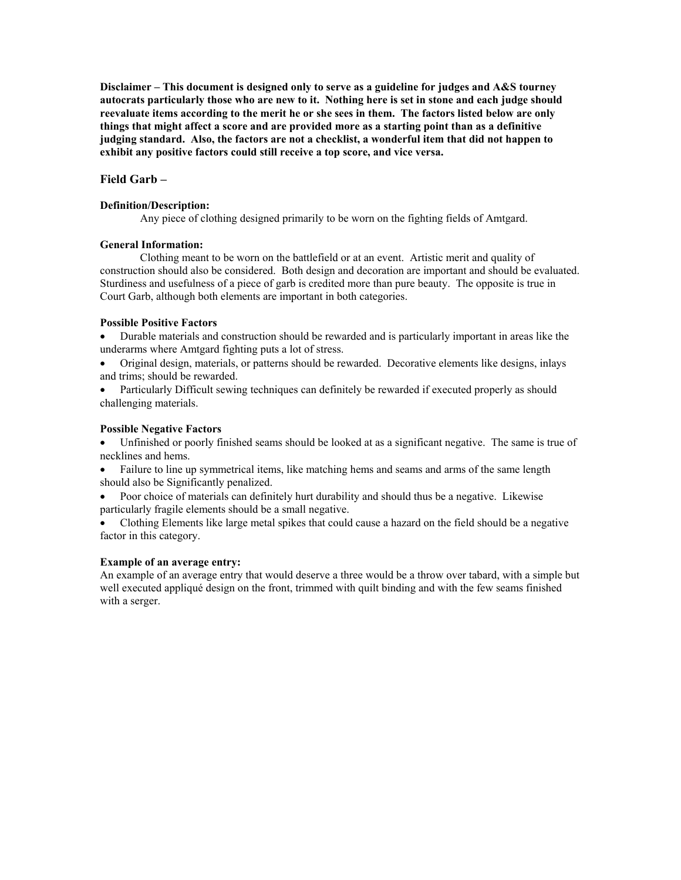# **Field Garb –**

### **Definition/Description:**

Any piece of clothing designed primarily to be worn on the fighting fields of Amtgard.

## **General Information:**

Clothing meant to be worn on the battlefield or at an event. Artistic merit and quality of construction should also be considered. Both design and decoration are important and should be evaluated. Sturdiness and usefulness of a piece of garb is credited more than pure beauty. The opposite is true in Court Garb, although both elements are important in both categories.

### **Possible Positive Factors**

- Durable materials and construction should be rewarded and is particularly important in areas like the underarms where Amtgard fighting puts a lot of stress.
- Original design, materials, or patterns should be rewarded. Decorative elements like designs, inlays and trims; should be rewarded.
- Particularly Difficult sewing techniques can definitely be rewarded if executed properly as should challenging materials.

### **Possible Negative Factors**

• Unfinished or poorly finished seams should be looked at as a significant negative. The same is true of necklines and hems.

- Failure to line up symmetrical items, like matching hems and seams and arms of the same length should also be Significantly penalized.
- Poor choice of materials can definitely hurt durability and should thus be a negative. Likewise particularly fragile elements should be a small negative.
- Clothing Elements like large metal spikes that could cause a hazard on the field should be a negative factor in this category.

### **Example of an average entry:**

An example of an average entry that would deserve a three would be a throw over tabard, with a simple but well executed appliqué design on the front, trimmed with quilt binding and with the few seams finished with a serger.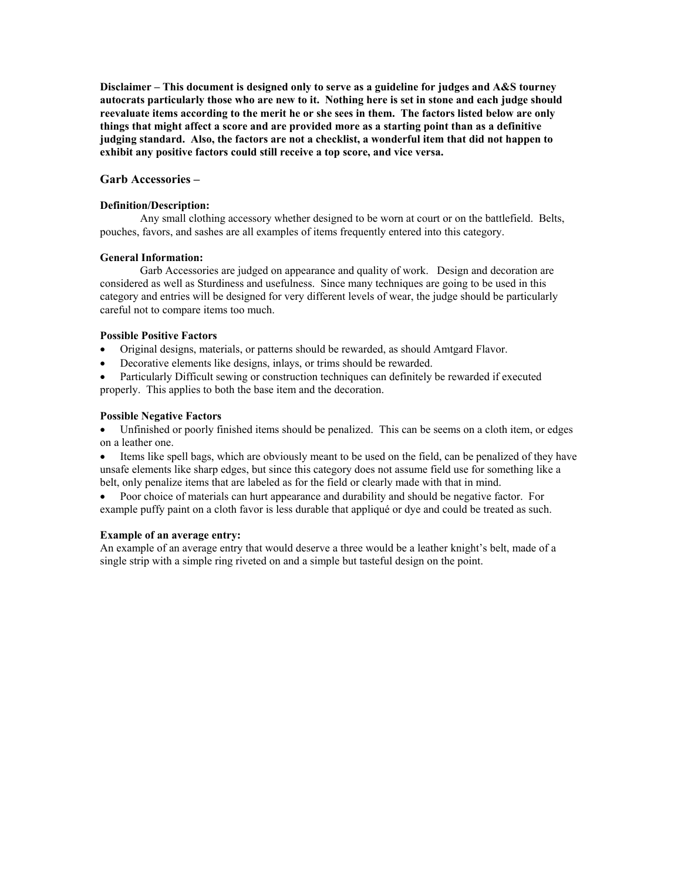#### **Garb Accessories –**

#### **Definition/Description:**

Any small clothing accessory whether designed to be worn at court or on the battlefield. Belts, pouches, favors, and sashes are all examples of items frequently entered into this category.

### **General Information:**

Garb Accessories are judged on appearance and quality of work. Design and decoration are considered as well as Sturdiness and usefulness. Since many techniques are going to be used in this category and entries will be designed for very different levels of wear, the judge should be particularly careful not to compare items too much.

### **Possible Positive Factors**

- Original designs, materials, or patterns should be rewarded, as should Amtgard Flavor.
- Decorative elements like designs, inlays, or trims should be rewarded.

• Particularly Difficult sewing or construction techniques can definitely be rewarded if executed properly. This applies to both the base item and the decoration.

### **Possible Negative Factors**

• Unfinished or poorly finished items should be penalized. This can be seems on a cloth item, or edges on a leather one.

• Items like spell bags, which are obviously meant to be used on the field, can be penalized of they have unsafe elements like sharp edges, but since this category does not assume field use for something like a belt, only penalize items that are labeled as for the field or clearly made with that in mind.

• Poor choice of materials can hurt appearance and durability and should be negative factor. For example puffy paint on a cloth favor is less durable that appliqué or dye and could be treated as such.

#### **Example of an average entry:**

An example of an average entry that would deserve a three would be a leather knight's belt, made of a single strip with a simple ring riveted on and a simple but tasteful design on the point.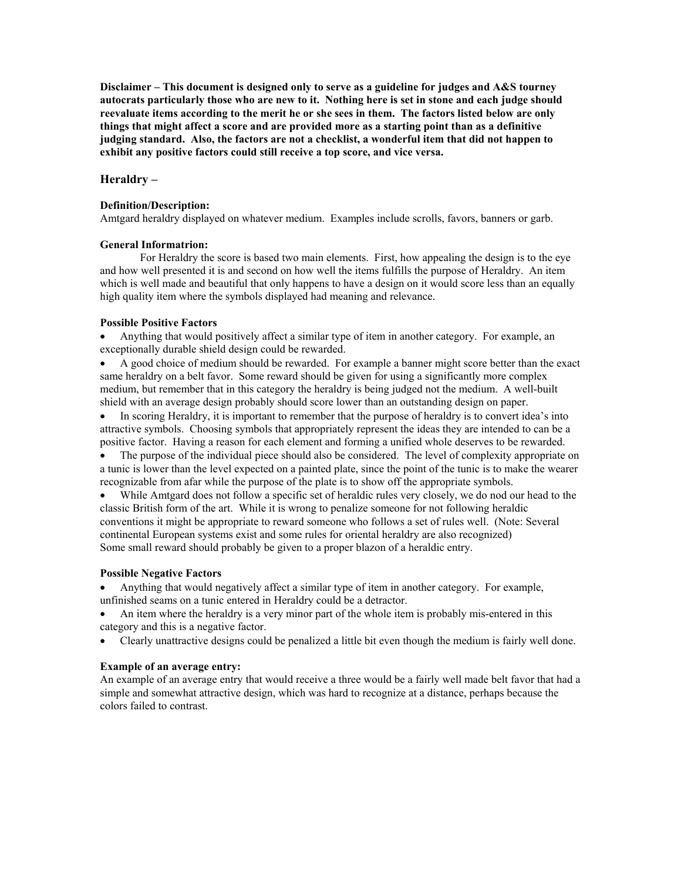### **Heraldry –**

#### **Definition/Description:**

Amtgard heraldry displayed on whatever medium. Examples include scrolls, favors, banners or garb.

### **General Informatrion:**

For Heraldry the score is based two main elements. First, how appealing the design is to the eye and how well presented it is and second on how well the items fulfills the purpose of Heraldry. An item which is well made and beautiful that only happens to have a design on it would score less than an equally high quality item where the symbols displayed had meaning and relevance.

#### **Possible Positive Factors**

• Anything that would positively affect a similar type of item in another category. For example, an exceptionally durable shield design could be rewarded.

• A good choice of medium should be rewarded. For example a banner might score better than the exact same heraldry on a belt favor. Some reward should be given for using a significantly more complex medium, but remember that in this category the heraldry is being judged not the medium. A well-built shield with an average design probably should score lower than an outstanding design on paper.

• In scoring Heraldry, it is important to remember that the purpose of heraldry is to convert idea's into attractive symbols. Choosing symbols that appropriately represent the ideas they are intended to can be a positive factor. Having a reason for each element and forming a unified whole deserves to be rewarded.

The purpose of the individual piece should also be considered. The level of complexity appropriate on a tunic is lower than the level expected on a painted plate, since the point of the tunic is to make the wearer recognizable from afar while the purpose of the plate is to show off the appropriate symbols.

• While Amtgard does not follow a specific set of heraldic rules very closely, we do nod our head to the classic British form of the art. While it is wrong to penalize someone for not following heraldic conventions it might be appropriate to reward someone who follows a set of rules well. (Note: Several continental European systems exist and some rules for oriental heraldry are also recognized) Some small reward should probably be given to a proper blazon of a heraldic entry.

#### **Possible Negative Factors**

• Anything that would negatively affect a similar type of item in another category. For example, unfinished seams on a tunic entered in Heraldry could be a detractor.

• An item where the heraldry is a very minor part of the whole item is probably mis-entered in this category and this is a negative factor.

• Clearly unattractive designs could be penalized a little bit even though the medium is fairly well done.

### **Example of an average entry:**

An example of an average entry that would receive a three would be a fairly well made belt favor that had a simple and somewhat attractive design, which was hard to recognize at a distance, perhaps because the colors failed to contrast.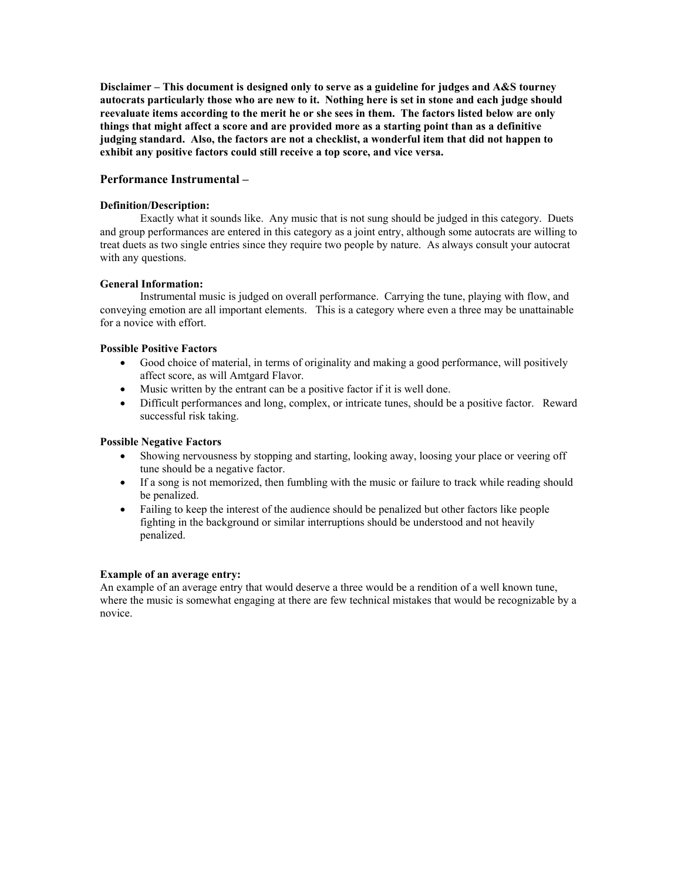## **Performance Instrumental –**

### **Definition/Description:**

Exactly what it sounds like. Any music that is not sung should be judged in this category. Duets and group performances are entered in this category as a joint entry, although some autocrats are willing to treat duets as two single entries since they require two people by nature. As always consult your autocrat with any questions.

### **General Information:**

 Instrumental music is judged on overall performance. Carrying the tune, playing with flow, and conveying emotion are all important elements. This is a category where even a three may be unattainable for a novice with effort.

### **Possible Positive Factors**

- Good choice of material, in terms of originality and making a good performance, will positively affect score, as will Amtgard Flavor.
- Music written by the entrant can be a positive factor if it is well done.
- Difficult performances and long, complex, or intricate tunes, should be a positive factor. Reward successful risk taking.

#### **Possible Negative Factors**

- Showing nervousness by stopping and starting, looking away, loosing your place or veering off tune should be a negative factor.
- If a song is not memorized, then fumbling with the music or failure to track while reading should be penalized.
- Failing to keep the interest of the audience should be penalized but other factors like people fighting in the background or similar interruptions should be understood and not heavily penalized.

#### **Example of an average entry:**

An example of an average entry that would deserve a three would be a rendition of a well known tune, where the music is somewhat engaging at there are few technical mistakes that would be recognizable by a novice.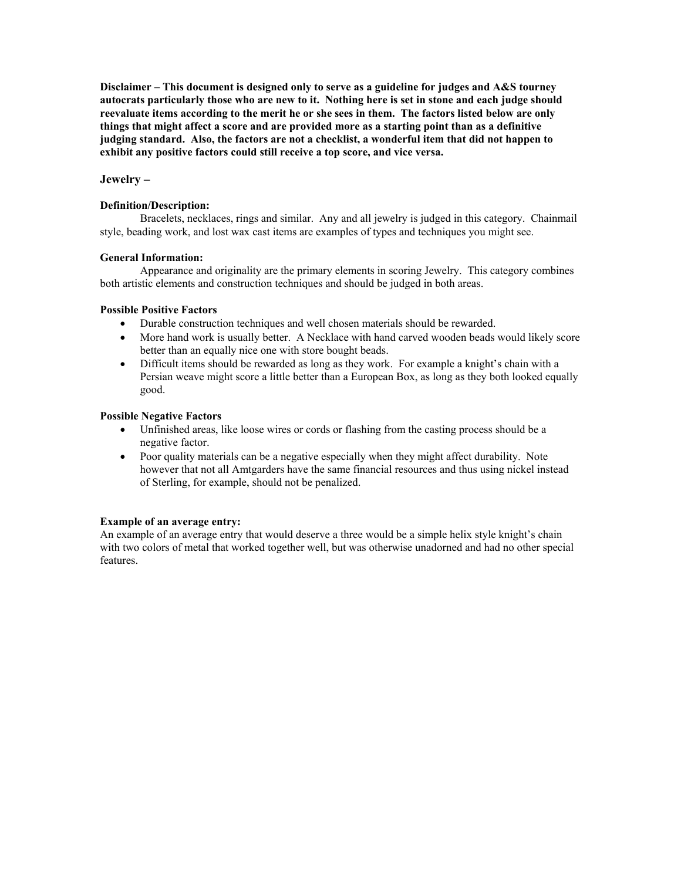# **Jewelry –**

### **Definition/Description:**

Bracelets, necklaces, rings and similar. Any and all jewelry is judged in this category. Chainmail style, beading work, and lost wax cast items are examples of types and techniques you might see.

### **General Information:**

Appearance and originality are the primary elements in scoring Jewelry. This category combines both artistic elements and construction techniques and should be judged in both areas.

## **Possible Positive Factors**

- Durable construction techniques and well chosen materials should be rewarded.
- More hand work is usually better. A Necklace with hand carved wooden beads would likely score better than an equally nice one with store bought beads.
- Difficult items should be rewarded as long as they work. For example a knight's chain with a Persian weave might score a little better than a European Box, as long as they both looked equally good.

### **Possible Negative Factors**

- Unfinished areas, like loose wires or cords or flashing from the casting process should be a negative factor.
- Poor quality materials can be a negative especially when they might affect durability. Note however that not all Amtgarders have the same financial resources and thus using nickel instead of Sterling, for example, should not be penalized.

## **Example of an average entry:**

An example of an average entry that would deserve a three would be a simple helix style knight's chain with two colors of metal that worked together well, but was otherwise unadorned and had no other special features.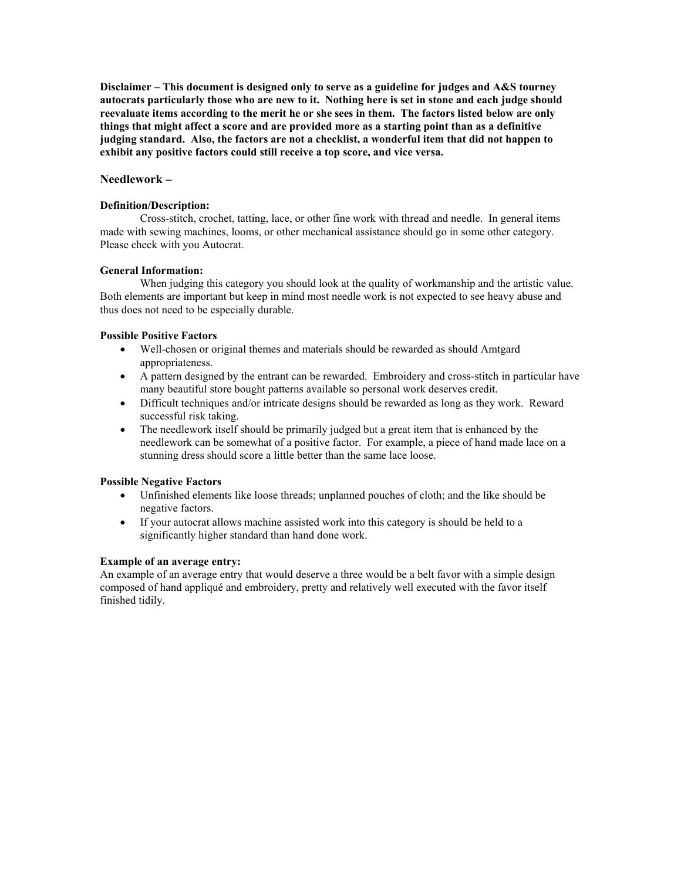## **Needlework –**

### **Definition/Description:**

Cross-stitch, crochet, tatting, lace, or other fine work with thread and needle. In general items made with sewing machines, looms, or other mechanical assistance should go in some other category. Please check with you Autocrat.

## **General Information:**

When judging this category you should look at the quality of workmanship and the artistic value. Both elements are important but keep in mind most needle work is not expected to see heavy abuse and thus does not need to be especially durable.

## **Possible Positive Factors**

- Well-chosen or original themes and materials should be rewarded as should Amtgard appropriateness.
- A pattern designed by the entrant can be rewarded. Embroidery and cross-stitch in particular have many beautiful store bought patterns available so personal work deserves credit.
- Difficult techniques and/or intricate designs should be rewarded as long as they work. Reward successful risk taking.
- The needlework itself should be primarily judged but a great item that is enhanced by the needlework can be somewhat of a positive factor. For example, a piece of hand made lace on a stunning dress should score a little better than the same lace loose.

## **Possible Negative Factors**

- Unfinished elements like loose threads; unplanned pouches of cloth; and the like should be negative factors.
- If your autocrat allows machine assisted work into this category is should be held to a significantly higher standard than hand done work.

### **Example of an average entry:**

An example of an average entry that would deserve a three would be a belt favor with a simple design composed of hand appliqué and embroidery, pretty and relatively well executed with the favor itself finished tidily.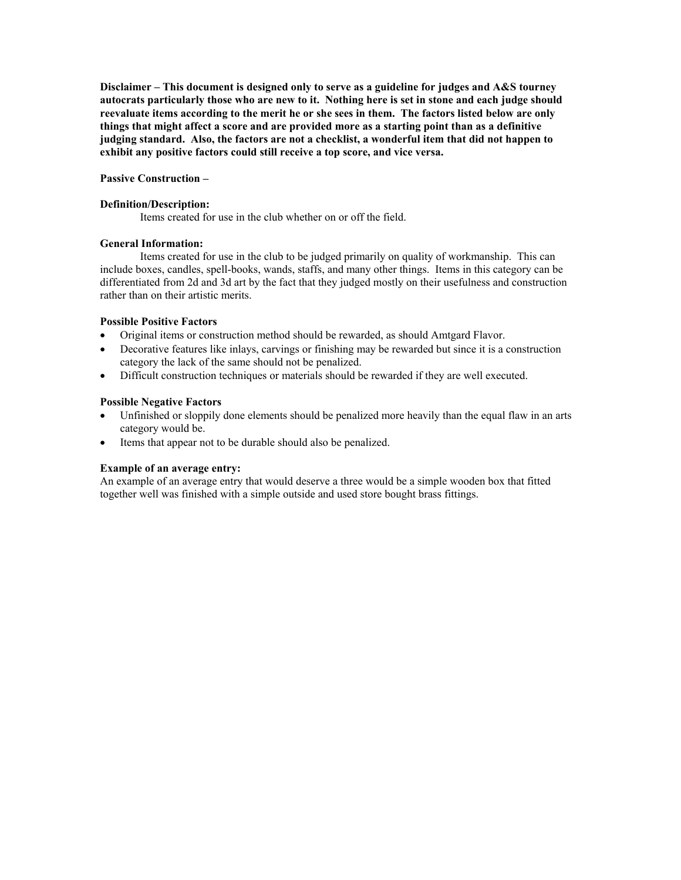#### **Passive Construction –**

#### **Definition/Description:**

Items created for use in the club whether on or off the field.

### **General Information:**

 Items created for use in the club to be judged primarily on quality of workmanship. This can include boxes, candles, spell-books, wands, staffs, and many other things. Items in this category can be differentiated from 2d and 3d art by the fact that they judged mostly on their usefulness and construction rather than on their artistic merits.

## **Possible Positive Factors**

- Original items or construction method should be rewarded, as should Amtgard Flavor.
- Decorative features like inlays, carvings or finishing may be rewarded but since it is a construction category the lack of the same should not be penalized.
- Difficult construction techniques or materials should be rewarded if they are well executed.

### **Possible Negative Factors**

- Unfinished or sloppily done elements should be penalized more heavily than the equal flaw in an arts category would be.
- Items that appear not to be durable should also be penalized.

## **Example of an average entry:**

An example of an average entry that would deserve a three would be a simple wooden box that fitted together well was finished with a simple outside and used store bought brass fittings.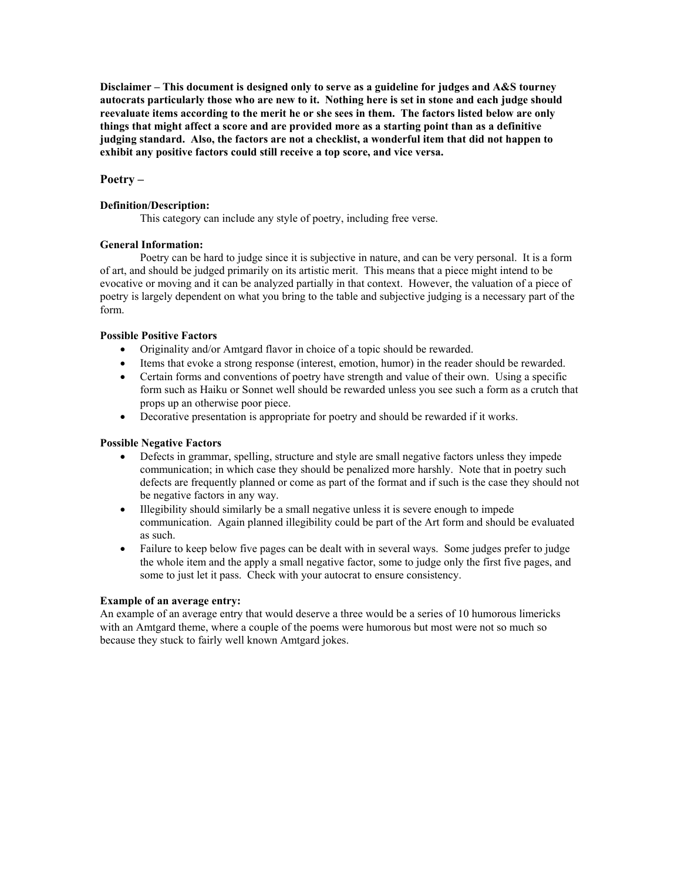# **Poetry –**

### **Definition/Description:**

This category can include any style of poetry, including free verse.

## **General Information:**

Poetry can be hard to judge since it is subjective in nature, and can be very personal. It is a form of art, and should be judged primarily on its artistic merit. This means that a piece might intend to be evocative or moving and it can be analyzed partially in that context. However, the valuation of a piece of poetry is largely dependent on what you bring to the table and subjective judging is a necessary part of the form.

### **Possible Positive Factors**

- Originality and/or Amtgard flavor in choice of a topic should be rewarded.
- Items that evoke a strong response (interest, emotion, humor) in the reader should be rewarded.
- Certain forms and conventions of poetry have strength and value of their own. Using a specific form such as Haiku or Sonnet well should be rewarded unless you see such a form as a crutch that props up an otherwise poor piece.
- Decorative presentation is appropriate for poetry and should be rewarded if it works.

#### **Possible Negative Factors**

- Defects in grammar, spelling, structure and style are small negative factors unless they impede communication; in which case they should be penalized more harshly. Note that in poetry such defects are frequently planned or come as part of the format and if such is the case they should not be negative factors in any way.
- Illegibility should similarly be a small negative unless it is severe enough to impede communication. Again planned illegibility could be part of the Art form and should be evaluated as such.
- Failure to keep below five pages can be dealt with in several ways. Some judges prefer to judge the whole item and the apply a small negative factor, some to judge only the first five pages, and some to just let it pass. Check with your autocrat to ensure consistency.

## **Example of an average entry:**

An example of an average entry that would deserve a three would be a series of 10 humorous limericks with an Amtgard theme, where a couple of the poems were humorous but most were not so much so because they stuck to fairly well known Amtgard jokes.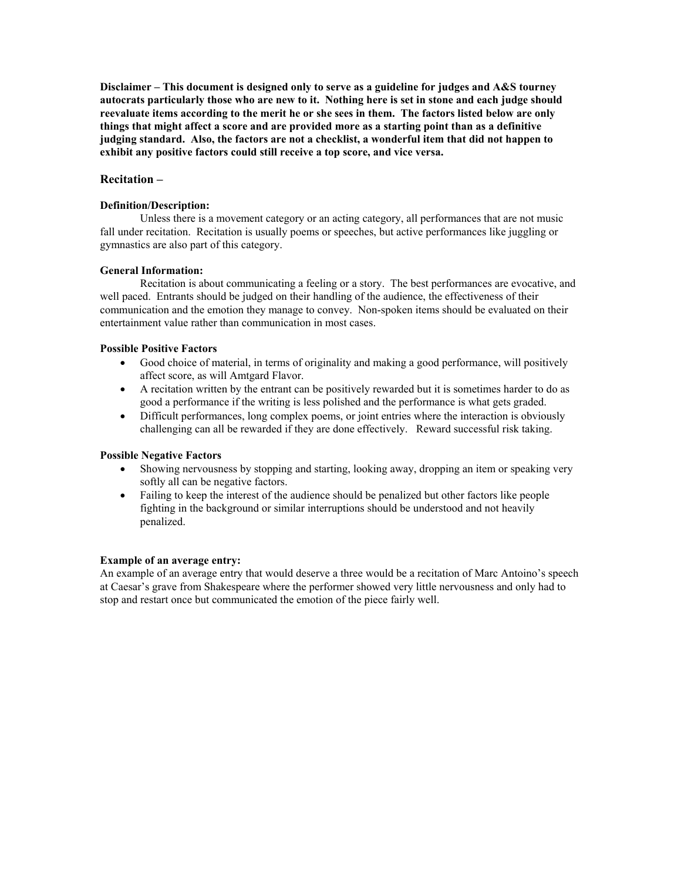# **Recitation –**

### **Definition/Description:**

Unless there is a movement category or an acting category, all performances that are not music fall under recitation. Recitation is usually poems or speeches, but active performances like juggling or gymnastics are also part of this category.

### **General Information:**

Recitation is about communicating a feeling or a story. The best performances are evocative, and well paced. Entrants should be judged on their handling of the audience, the effectiveness of their communication and the emotion they manage to convey. Non-spoken items should be evaluated on their entertainment value rather than communication in most cases.

### **Possible Positive Factors**

- Good choice of material, in terms of originality and making a good performance, will positively affect score, as will Amtgard Flavor.
- A recitation written by the entrant can be positively rewarded but it is sometimes harder to do as good a performance if the writing is less polished and the performance is what gets graded.
- Difficult performances, long complex poems, or joint entries where the interaction is obviously challenging can all be rewarded if they are done effectively. Reward successful risk taking.

## **Possible Negative Factors**

- Showing nervousness by stopping and starting, looking away, dropping an item or speaking very softly all can be negative factors.
- Failing to keep the interest of the audience should be penalized but other factors like people fighting in the background or similar interruptions should be understood and not heavily penalized.

#### **Example of an average entry:**

An example of an average entry that would deserve a three would be a recitation of Marc Antoino's speech at Caesar's grave from Shakespeare where the performer showed very little nervousness and only had to stop and restart once but communicated the emotion of the piece fairly well.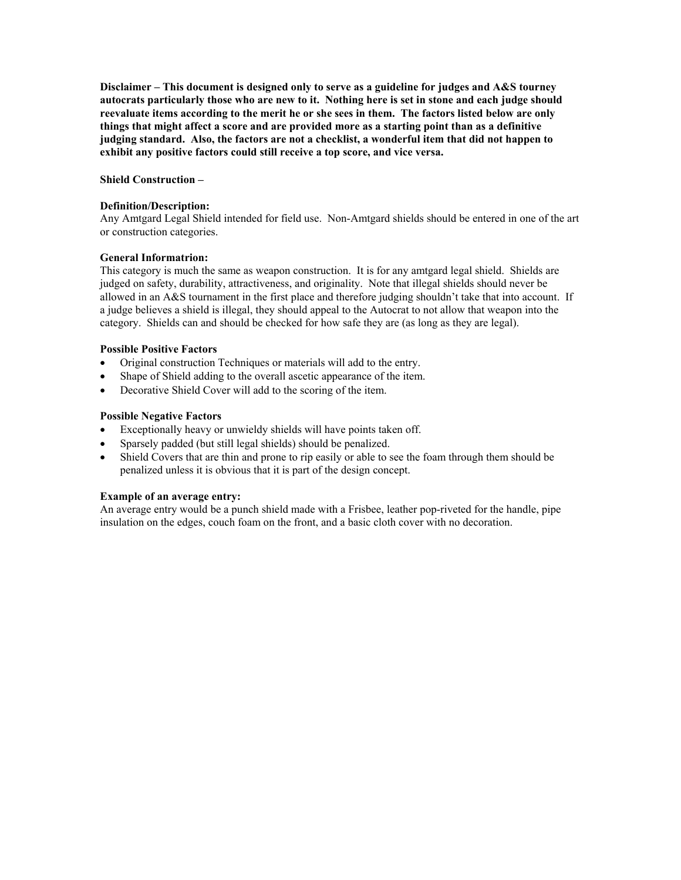#### **Shield Construction –**

#### **Definition/Description:**

Any Amtgard Legal Shield intended for field use. Non-Amtgard shields should be entered in one of the art or construction categories.

### **General Informatrion:**

This category is much the same as weapon construction. It is for any amtgard legal shield. Shields are judged on safety, durability, attractiveness, and originality. Note that illegal shields should never be allowed in an A&S tournament in the first place and therefore judging shouldn't take that into account. If a judge believes a shield is illegal, they should appeal to the Autocrat to not allow that weapon into the category. Shields can and should be checked for how safe they are (as long as they are legal).

### **Possible Positive Factors**

- Original construction Techniques or materials will add to the entry.
- Shape of Shield adding to the overall ascetic appearance of the item.
- Decorative Shield Cover will add to the scoring of the item.

### **Possible Negative Factors**

- Exceptionally heavy or unwieldy shields will have points taken off.
- Sparsely padded (but still legal shields) should be penalized.
- Shield Covers that are thin and prone to rip easily or able to see the foam through them should be penalized unless it is obvious that it is part of the design concept.

#### **Example of an average entry:**

An average entry would be a punch shield made with a Frisbee, leather pop-riveted for the handle, pipe insulation on the edges, couch foam on the front, and a basic cloth cover with no decoration.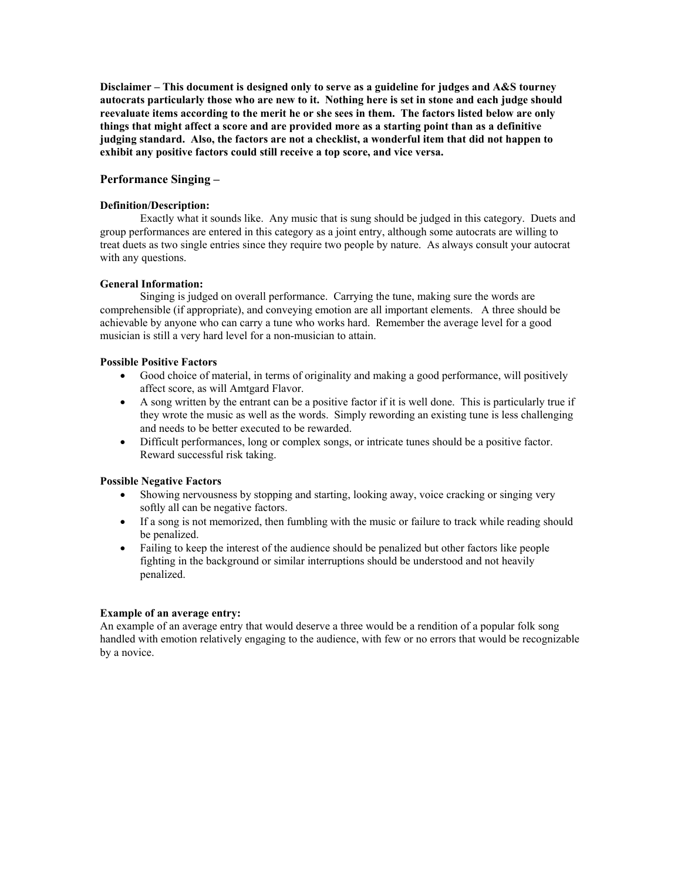### **Performance Singing –**

#### **Definition/Description:**

Exactly what it sounds like. Any music that is sung should be judged in this category. Duets and group performances are entered in this category as a joint entry, although some autocrats are willing to treat duets as two single entries since they require two people by nature. As always consult your autocrat with any questions.

#### **General Information:**

 Singing is judged on overall performance. Carrying the tune, making sure the words are comprehensible (if appropriate), and conveying emotion are all important elements. A three should be achievable by anyone who can carry a tune who works hard. Remember the average level for a good musician is still a very hard level for a non-musician to attain.

#### **Possible Positive Factors**

- Good choice of material, in terms of originality and making a good performance, will positively affect score, as will Amtgard Flavor.
- A song written by the entrant can be a positive factor if it is well done. This is particularly true if they wrote the music as well as the words. Simply rewording an existing tune is less challenging and needs to be better executed to be rewarded.
- Difficult performances, long or complex songs, or intricate tunes should be a positive factor. Reward successful risk taking.

#### **Possible Negative Factors**

- Showing nervousness by stopping and starting, looking away, voice cracking or singing very softly all can be negative factors.
- If a song is not memorized, then fumbling with the music or failure to track while reading should be penalized.
- Failing to keep the interest of the audience should be penalized but other factors like people fighting in the background or similar interruptions should be understood and not heavily penalized.

#### **Example of an average entry:**

An example of an average entry that would deserve a three would be a rendition of a popular folk song handled with emotion relatively engaging to the audience, with few or no errors that would be recognizable by a novice.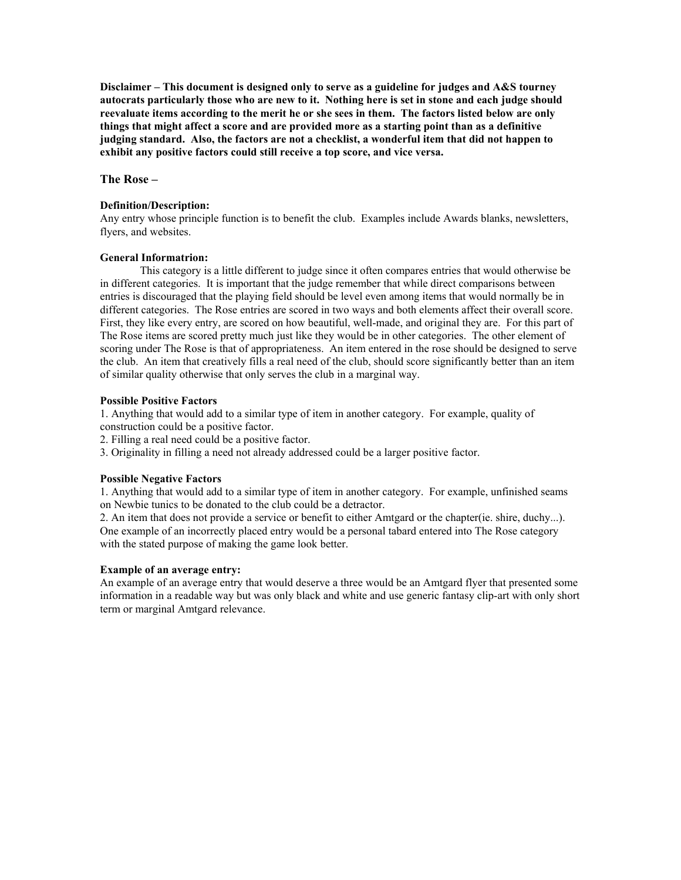**The Rose –** 

#### **Definition/Description:**

Any entry whose principle function is to benefit the club. Examples include Awards blanks, newsletters, flyers, and websites.

### **General Informatrion:**

This category is a little different to judge since it often compares entries that would otherwise be in different categories. It is important that the judge remember that while direct comparisons between entries is discouraged that the playing field should be level even among items that would normally be in different categories. The Rose entries are scored in two ways and both elements affect their overall score. First, they like every entry, are scored on how beautiful, well-made, and original they are. For this part of The Rose items are scored pretty much just like they would be in other categories. The other element of scoring under The Rose is that of appropriateness. An item entered in the rose should be designed to serve the club. An item that creatively fills a real need of the club, should score significantly better than an item of similar quality otherwise that only serves the club in a marginal way.

### **Possible Positive Factors**

1. Anything that would add to a similar type of item in another category. For example, quality of construction could be a positive factor.

- 2. Filling a real need could be a positive factor.
- 3. Originality in filling a need not already addressed could be a larger positive factor.

#### **Possible Negative Factors**

1. Anything that would add to a similar type of item in another category. For example, unfinished seams on Newbie tunics to be donated to the club could be a detractor.

2. An item that does not provide a service or benefit to either Amtgard or the chapter(ie. shire, duchy...). One example of an incorrectly placed entry would be a personal tabard entered into The Rose category with the stated purpose of making the game look better.

### **Example of an average entry:**

An example of an average entry that would deserve a three would be an Amtgard flyer that presented some information in a readable way but was only black and white and use generic fantasy clip-art with only short term or marginal Amtgard relevance.